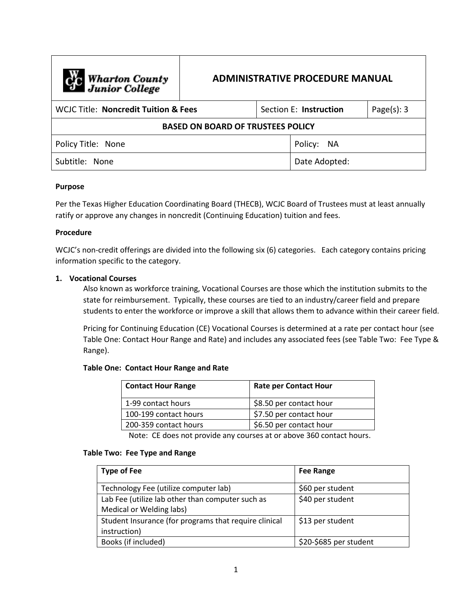| <b>Computer</b> Wharton County           | <b>ADMINISTRATIVE PROCEDURE MANUAL</b> |  |                        |                |  |
|------------------------------------------|----------------------------------------|--|------------------------|----------------|--|
| WCIC Title: Noncredit Tuition & Fees     |                                        |  | Section E: Instruction | Page $(s)$ : 3 |  |
| <b>BASED ON BOARD OF TRUSTEES POLICY</b> |                                        |  |                        |                |  |
| Policy Title: None                       |                                        |  | Policy: NA             |                |  |
| Subtitle: None                           |                                        |  | Date Adopted:          |                |  |

### **Purpose**

Per the Texas Higher Education Coordinating Board (THECB), WCJC Board of Trustees must at least annually ratify or approve any changes in noncredit (Continuing Education) tuition and fees.

#### **Procedure**

WCJC's non-credit offerings are divided into the following six (6) categories. Each category contains pricing information specific to the category.

### **1. Vocational Courses**

Also known as workforce training, Vocational Courses are those which the institution submits to the state for reimbursement. Typically, these courses are tied to an industry/career field and prepare students to enter the workforce or improve a skill that allows them to advance within their career field.

Pricing for Continuing Education (CE) Vocational Courses is determined at a rate per contact hour (see Table One: Contact Hour Range and Rate) and includes any associated fees (see Table Two: Fee Type & Range).

#### **Table One: Contact Hour Range and Rate**

| <b>Contact Hour Range</b> | <b>Rate per Contact Hour</b> |
|---------------------------|------------------------------|
| 1-99 contact hours        | \$8.50 per contact hour      |
| 100-199 contact hours     | \$7.50 per contact hour      |
| 200-359 contact hours     | \$6.50 per contact hour      |

Note: CE does not provide any courses at or above 360 contact hours.

#### **Table Two: Fee Type and Range**

| <b>Type of Fee</b>                                                           | <b>Fee Range</b>       |
|------------------------------------------------------------------------------|------------------------|
| Technology Fee (utilize computer lab)                                        | \$60 per student       |
| Lab Fee (utilize lab other than computer such as<br>Medical or Welding labs) | \$40 per student       |
| Student Insurance (for programs that require clinical<br>instruction)        | \$13 per student       |
| Books (if included)                                                          | \$20-\$685 per student |